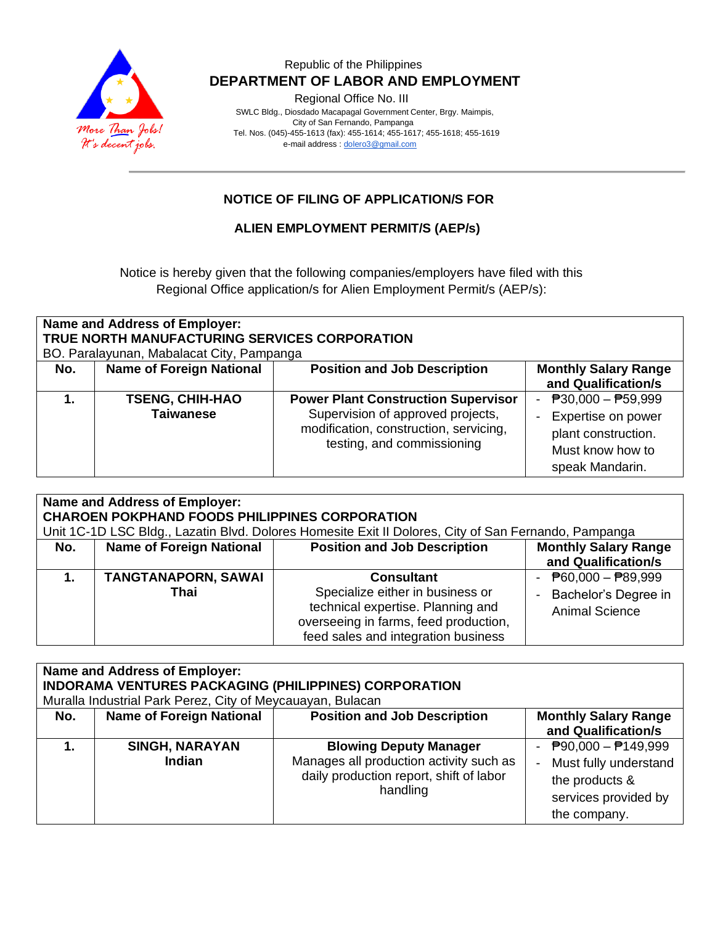

## Republic of the Philippines  **DEPARTMENT OF LABOR AND EMPLOYMENT**

Regional Office No. III

 SWLC Bldg., Diosdado Macapagal Government Center, Brgy. Maimpis, City of San Fernando, Pampanga Tel. Nos. (045)-455-1613 (fax): 455-1614; 455-1617; 455-1618; 455-1619 e-mail address [: dolero3@gmail.com](mailto:dolero3@gmail.com)

# **NOTICE OF FILING OF APPLICATION/S FOR**

## **ALIEN EMPLOYMENT PERMIT/S (AEP/s)**

Notice is hereby given that the following companies/employers have filed with this Regional Office application/s for Alien Employment Permit/s (AEP/s):

| Name and Address of Employer:<br>TRUE NORTH MANUFACTURING SERVICES CORPORATION<br>BO. Paralayunan, Mabalacat City, Pampanga |                                            |                                                                                                                                                         |                                                                                                           |  |  |  |
|-----------------------------------------------------------------------------------------------------------------------------|--------------------------------------------|---------------------------------------------------------------------------------------------------------------------------------------------------------|-----------------------------------------------------------------------------------------------------------|--|--|--|
| No.                                                                                                                         | <b>Name of Foreign National</b>            | <b>Position and Job Description</b>                                                                                                                     | <b>Monthly Salary Range</b><br>and Qualification/s                                                        |  |  |  |
|                                                                                                                             | <b>TSENG, CHIH-HAO</b><br><b>Taiwanese</b> | <b>Power Plant Construction Supervisor</b><br>Supervision of approved projects,<br>modification, construction, servicing,<br>testing, and commissioning | - $P30,000 - P59,999$<br>Expertise on power<br>plant construction.<br>Must know how to<br>speak Mandarin. |  |  |  |

| <b>Name and Address of Employer:</b><br><b>CHAROEN POKPHAND FOODS PHILIPPINES CORPORATION</b><br>Unit 1C-1D LSC Bldg., Lazatin Blvd. Dolores Homesite Exit II Dolores, City of San Fernando, Pampanga |                                    |                                                                                                                                                                            |                                                                                              |  |  |  |
|-------------------------------------------------------------------------------------------------------------------------------------------------------------------------------------------------------|------------------------------------|----------------------------------------------------------------------------------------------------------------------------------------------------------------------------|----------------------------------------------------------------------------------------------|--|--|--|
| No.                                                                                                                                                                                                   | <b>Name of Foreign National</b>    | <b>Position and Job Description</b>                                                                                                                                        | <b>Monthly Salary Range</b><br>and Qualification/s                                           |  |  |  |
| 1.                                                                                                                                                                                                    | <b>TANGTANAPORN, SAWAI</b><br>Thai | <b>Consultant</b><br>Specialize either in business or<br>technical expertise. Planning and<br>overseeing in farms, feed production,<br>feed sales and integration business | - $\overline{P}60,000 - \overline{P}89,999$<br>Bachelor's Degree in<br><b>Animal Science</b> |  |  |  |

| <b>Name and Address of Employer:</b><br><b>INDORAMA VENTURES PACKAGING (PHILIPPINES) CORPORATION</b><br>Muralla Industrial Park Perez, City of Meycauayan, Bulacan |                                        |                                                                                                                                 |                                                                                                                               |  |  |  |
|--------------------------------------------------------------------------------------------------------------------------------------------------------------------|----------------------------------------|---------------------------------------------------------------------------------------------------------------------------------|-------------------------------------------------------------------------------------------------------------------------------|--|--|--|
| No.                                                                                                                                                                | <b>Name of Foreign National</b>        | <b>Position and Job Description</b>                                                                                             | <b>Monthly Salary Range</b><br>and Qualification/s                                                                            |  |  |  |
|                                                                                                                                                                    | <b>SINGH, NARAYAN</b><br><b>Indian</b> | <b>Blowing Deputy Manager</b><br>Manages all production activity such as<br>daily production report, shift of labor<br>handling | $\overline{P}90,000 - \overline{P}149,999$<br>Must fully understand<br>the products &<br>services provided by<br>the company. |  |  |  |